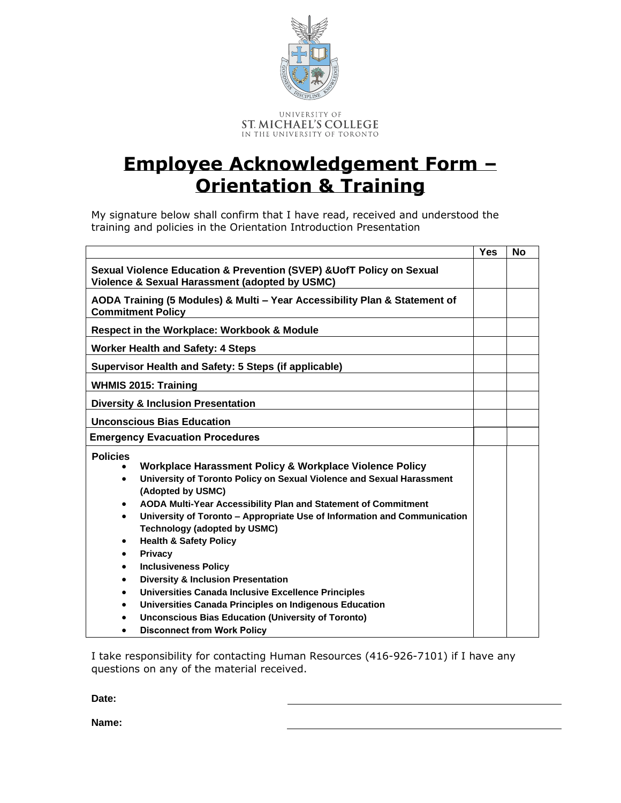

## **Employee Acknowledgement Form – Orientation & Training**

My signature below shall confirm that I have read, received and understood the training and policies in the Orientation Introduction Presentation

|                                                                                                                                                                                                                                                                                                                                                                                                                                                                                                                                                                                                                                                                                                                                                                                                                                                    | <b>Yes</b> | <b>No</b> |
|----------------------------------------------------------------------------------------------------------------------------------------------------------------------------------------------------------------------------------------------------------------------------------------------------------------------------------------------------------------------------------------------------------------------------------------------------------------------------------------------------------------------------------------------------------------------------------------------------------------------------------------------------------------------------------------------------------------------------------------------------------------------------------------------------------------------------------------------------|------------|-----------|
| Sexual Violence Education & Prevention (SVEP) & UofT Policy on Sexual<br><b>Violence &amp; Sexual Harassment (adopted by USMC)</b>                                                                                                                                                                                                                                                                                                                                                                                                                                                                                                                                                                                                                                                                                                                 |            |           |
| AODA Training (5 Modules) & Multi - Year Accessibility Plan & Statement of<br><b>Commitment Policy</b>                                                                                                                                                                                                                                                                                                                                                                                                                                                                                                                                                                                                                                                                                                                                             |            |           |
| <b>Respect in the Workplace: Workbook &amp; Module</b>                                                                                                                                                                                                                                                                                                                                                                                                                                                                                                                                                                                                                                                                                                                                                                                             |            |           |
| <b>Worker Health and Safety: 4 Steps</b>                                                                                                                                                                                                                                                                                                                                                                                                                                                                                                                                                                                                                                                                                                                                                                                                           |            |           |
| Supervisor Health and Safety: 5 Steps (if applicable)                                                                                                                                                                                                                                                                                                                                                                                                                                                                                                                                                                                                                                                                                                                                                                                              |            |           |
| <b>WHMIS 2015: Training</b>                                                                                                                                                                                                                                                                                                                                                                                                                                                                                                                                                                                                                                                                                                                                                                                                                        |            |           |
| <b>Diversity &amp; Inclusion Presentation</b>                                                                                                                                                                                                                                                                                                                                                                                                                                                                                                                                                                                                                                                                                                                                                                                                      |            |           |
| <b>Unconscious Bias Education</b>                                                                                                                                                                                                                                                                                                                                                                                                                                                                                                                                                                                                                                                                                                                                                                                                                  |            |           |
| <b>Emergency Evacuation Procedures</b>                                                                                                                                                                                                                                                                                                                                                                                                                                                                                                                                                                                                                                                                                                                                                                                                             |            |           |
| <b>Policies</b><br>Workplace Harassment Policy & Workplace Violence Policy<br>University of Toronto Policy on Sexual Violence and Sexual Harassment<br>$\bullet$<br>(Adopted by USMC)<br>AODA Multi-Year Accessibility Plan and Statement of Commitment<br>$\bullet$<br>University of Toronto – Appropriate Use of Information and Communication<br>$\bullet$<br><b>Technology (adopted by USMC)</b><br><b>Health &amp; Safety Policy</b><br>$\bullet$<br><b>Privacy</b><br>٠<br><b>Inclusiveness Policy</b><br>$\bullet$<br><b>Diversity &amp; Inclusion Presentation</b><br>$\bullet$<br>Universities Canada Inclusive Excellence Principles<br>$\bullet$<br>Universities Canada Principles on Indigenous Education<br>$\bullet$<br><b>Unconscious Bias Education (University of Toronto)</b><br>$\bullet$<br><b>Disconnect from Work Policy</b> |            |           |

I take responsibility for contacting Human Resources (416-926-7101) if I have any questions on any of the material received.

**Date:**

**Name:**